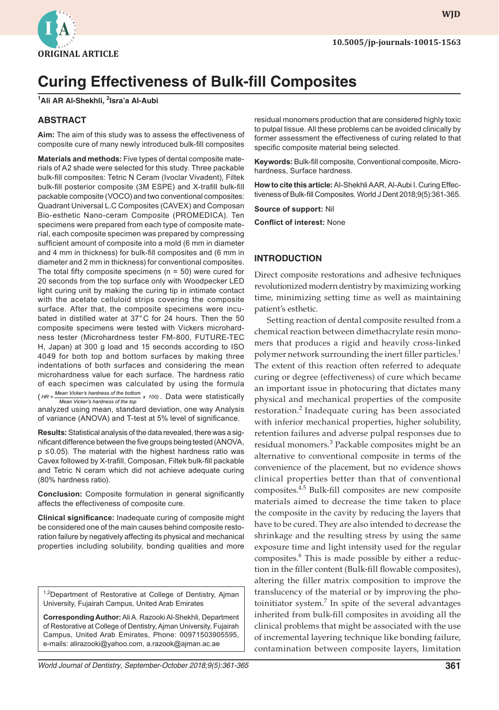

# **Curing Effectiveness of Bulk-fill Composites**

**1 Ali AR Al-Shekhli, 2 Isra'a Al-Aubi**

# **ABSTRACT**

**Aim:** The aim of this study was to assess the effectiveness of composite cure of many newly introduced bulk-fill composites

**Materials and methods:** Five types of dental composite materials of A2 shade were selected for this study. Three packable bulk-fill composites: Tetric N Ceram (Ivoclar Vivadent), Filtek bulk-fill posterior composite (3M ESPE) and X-trafill bulk-fill packable composite (VOCO) and two conventional composites: Quadrant Universal L.C Composites (CAVEX) and Composan Bio-esthetic Nano-ceram Composite (PROMEDICA). Ten specimens were prepared from each type of composite material, each composite specimen was prepared by compressing sufficient amount of composite into a mold (6 mm in diameter and 4 mm in thickness) for bulk-fill composites and (6 mm in diameter and 2 mm in thickness) for conventional composites. The total fifty composite specimens ( $n = 50$ ) were cured for 20 seconds from the top surface only with Woodpecker LED light curing unit by making the curing tip in intimate contact with the acetate celluloid strips covering the composite surface. After that, the composite specimens were incubated in distilled water at 37°C for 24 hours. Then the 50 composite specimens were tested with Vickers microhardness tester (Microhardness tester FM-800, FUTURE-TEC H, Japan) at 300 g load and 15 seconds according to ISO 4049 for both top and bottom surfaces by making three indentations of both surfaces and considering the mean microhardness value for each surface. The hardness ratio of each specimen was calculated by using the formula (*HR* = *Mean Vicker's hardness of the bottom* x 100). Data were statistically <br>Mean Vicker's hardness of the top Mean Vicker's hardness of the top analyzed using mean, standard deviation, one way Analysis of variance (ANOVA) and T-test at 5% level of significance.

**Results:** Statistical analysis of the data revealed, there was a significant difference between the five groups being tested (ANOVA, p ≤0.05). The material with the highest hardness ratio was Cavex followed by X-trafill, Composan, Filtek bulk-fill packable and Tetric N ceram which did not achieve adequate curing (80% hardness ratio).

**Conclusion:** Composite formulation in general significantly affects the effectiveness of composite cure.

**Clinical significance:** Inadequate curing of composite might be considered one of the main causes behind composite restoration failure by negatively affecting its physical and mechanical properties including solubility, bonding qualities and more

<sup>1,2</sup>Department of Restorative at College of Dentistry, Ajman University, Fujairah Campus, United Arab Emirates

**Corresponding Author:** Ali A. Razooki Al-Shekhli, Department of Restorative at College of Dentistry, Ajman University, Fujairah Campus, United Arab Emirates, Phone: 00971503905595, e-mails: alirazooki@yahoo.com, a.razook@ajman.ac.ae

residual monomers production that are considered highly toxic to pulpal tissue. All these problems can be avoided clinically by former assessment the effectiveness of curing related to that specific composite material being selected.

**Keywords:** Bulk-fill composite, Conventional composite, Microhardness, Surface hardness.

**How to cite this article:** Al-Shekhli AAR, Al-Aubi I. Curing Effectiveness of Bulk-fill Composites. World J Dent 2018;9(5):361-365.

**Source of support:** Nil

**Conflict of interest:** None

#### **INTRODUCTION**

Direct composite restorations and adhesive techniques revolutionized modern dentistry by maximizing working time, minimizing setting time as well as maintaining patient's esthetic.

Setting reaction of dental composite resulted from a chemical reaction between dimethacrylate resin monomers that produces a rigid and heavily cross-linked polymer network surrounding the inert filler particles.<sup>1</sup> The extent of this reaction often referred to adequate curing or degree (effectiveness) of cure which became an important issue in photocuring that dictates many physical and mechanical properties of the composite restoration.<sup>2</sup> Inadequate curing has been associated with inferior mechanical properties, higher solubility, retention failures and adverse pulpal responses due to residual monomers.<sup>3</sup> Packable composites might be an alternative to conventional composite in terms of the convenience of the placement, but no evidence shows clinical properties better than that of conventional composites.4,5 Bulk-fill composites are new composite materials aimed to decrease the time taken to place the composite in the cavity by reducing the layers that have to be cured. They are also intended to decrease the shrinkage and the resulting stress by using the same exposure time and light intensity used for the regular composites.<sup>6</sup> This is made possible by either a reduction in the filler content (Bulk-fill flowable composites), altering the filler matrix composition to improve the translucency of the material or by improving the photoinitiator system.<sup>7</sup> In spite of the several advantages inherited from bulk-fill composites in avoiding all the clinical problems that might be associated with the use of incremental layering technique like bonding failure, contamination between composite layers, limitation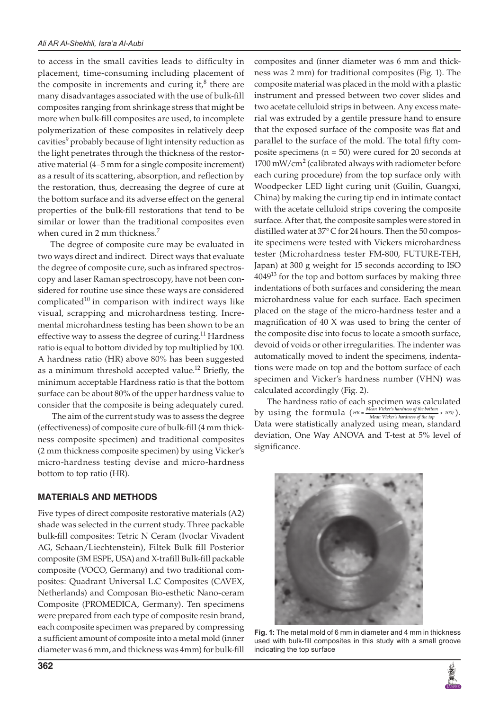to access in the small cavities leads to difficulty in placement, time-consuming including placement of the composite in increments and curing it, ${}^{8}$  there are many disadvantages associated with the use of bulk-fill composites ranging from shrinkage stress that might be more when bulk-fill composites are used, to incomplete polymerization of these composites in relatively deep cavities<sup>9</sup> probably because of light intensity reduction as the light penetrates through the thickness of the restorative material (4–5 mm for a single composite increment) as a result of its scattering, absorption, and reflection by the restoration, thus, decreasing the degree of cure at the bottom surface and its adverse effect on the general properties of the bulk-fill restorations that tend to be similar or lower than the traditional composites even when cured in 2 mm thickness.<sup>7</sup>

The degree of composite cure may be evaluated in two ways direct and indirect. Direct ways that evaluate the degree of composite cure, such as infrared spectroscopy and laser Raman spectroscopy, have not been considered for routine use since these ways are considered complicated $10$  in comparison with indirect ways like visual, scrapping and microhardness testing. Incremental microhardness testing has been shown to be an effective way to assess the degree of curing.<sup>11</sup> Hardness ratio is equal to bottom divided by top multiplied by 100. A hardness ratio (HR) above 80% has been suggested as a minimum threshold accepted value.<sup>12</sup> Briefly, the minimum acceptable Hardness ratio is that the bottom surface can be about 80% of the upper hardness value to consider that the composite is being adequately cured.

 The aim of the current study was to assess the degree (effectiveness) of composite cure of bulk-fill (4 mm thickness composite specimen) and traditional composites (2 mm thickness composite specimen) by using Vicker's micro-hardness testing devise and micro-hardness bottom to top ratio (HR).

# **MATERIALS AND METHODS**

Five types of direct composite restorative materials (A2) shade was selected in the current study. Three packable bulk-fill composites: Tetric N Ceram (Ivoclar Vivadent AG, Schaan/Liechtenstein), Filtek Bulk fill Posterior composite (3M ESPE, USA) and X-trafill Bulk-fill packable composite (VOCO, Germany) and two traditional composites: Quadrant Universal L.C Composites (CAVEX, Netherlands) and Composan Bio-esthetic Nano-ceram Composite (PROMEDICA, Germany). Ten specimens were prepared from each type of composite resin brand, each composite specimen was prepared by compressing a sufficient amount of composite into a metal mold (inner diameter was 6 mm, and thickness was 4mm) for bulk-fill

composites and (inner diameter was 6 mm and thickness was 2 mm) for traditional composites (Fig. 1). The composite material was placed in the mold with a plastic instrument and pressed between two cover slides and two acetate celluloid strips in between. Any excess material was extruded by a gentile pressure hand to ensure that the exposed surface of the composite was flat and parallel to the surface of the mold. The total fifty composite specimens (n = 50) were cured for 20 seconds at 1700 mW/cm<sup>2</sup> (calibrated always with radiometer before each curing procedure) from the top surface only with Woodpecker LED light curing unit (Guilin, Guangxi, China) by making the curing tip end in intimate contact with the acetate celluloid strips covering the composite surface. After that, the composite samples were stored in distilled water at 37°C for 24 hours. Then the 50 composite specimens were tested with Vickers microhardness tester (Microhardness tester FM-800, FUTURE-TEH, Japan) at 300 g weight for 15 seconds according to ISO  $4049<sup>13</sup>$  for the top and bottom surfaces by making three indentations of both surfaces and considering the mean microhardness value for each surface. Each specimen placed on the stage of the micro-hardness tester and a magnification of 40 X was used to bring the center of the composite disc into focus to locate a smooth surface, devoid of voids or other irregularities. The indenter was automatically moved to indent the specimens, indentations were made on top and the bottom surface of each specimen and Vicker's hardness number (VHN) was calculated accordingly (Fig. 2).

The hardness ratio of each specimen was calculated by using the formula  $(HR = \frac{Mean \text{ Vicker's hardness of the bottom}}{Mean \text{ Vicker's hardness of the top}} \times 100)$ . Data were statistically analyzed using mean, standard deviation, One Way ANOVA and T-test at 5% level of significance.



**Fig. 1:** The metal mold of 6 mm in diameter and 4 mm in thickness used with bulk-fill composites in this study with a small groove indicating the top surface

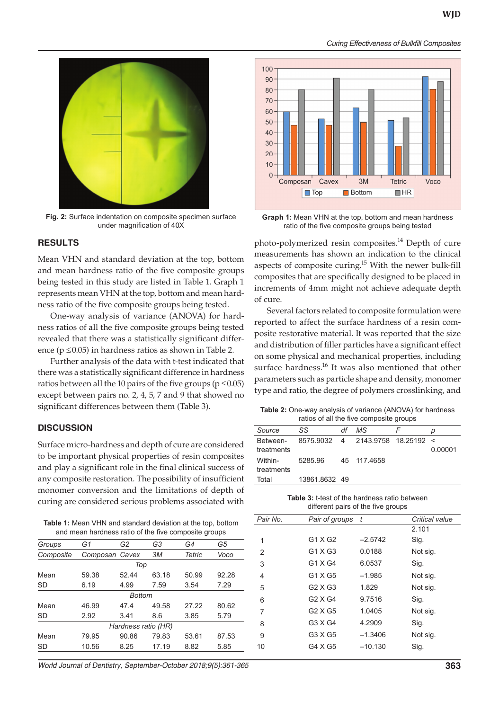

**Fig. 2:** Surface indentation on composite specimen surface under magnification of 40X

#### **RESULTS**

Mean VHN and standard deviation at the top, bottom and mean hardness ratio of the five composite groups being tested in this study are listed in Table 1. Graph 1 represents mean VHN at the top, bottom and mean hardness ratio of the five composite groups being tested.

One-way analysis of variance (ANOVA) for hardness ratios of all the five composite groups being tested revealed that there was a statistically significant difference ( $p \le 0.05$ ) in hardness ratios as shown in Table 2.

Further analysis of the data with t-test indicated that there was a statistically significant difference in hardness ratios between all the 10 pairs of the five groups ( $p \le 0.05$ ) except between pairs no. 2, 4, 5, 7 and 9 that showed no significant differences between them (Table 3).

#### **DISCUSSION**

Surface micro-hardness and depth of cure are considered to be important physical properties of resin composites and play a significant role in the final clinical success of any composite restoration. The possibility of insufficient monomer conversion and the limitations of depth of curing are considered serious problems associated with

| <b>Table 1:</b> Mean VHN and standard deviation at the top, bottom |
|--------------------------------------------------------------------|
| and mean hardness ratio of the five composite groups               |

|           | and model naranced ratio or the five composite groups |                     |                |        |       |
|-----------|-------------------------------------------------------|---------------------|----------------|--------|-------|
| Groups    | G1                                                    | G2                  | G <sub>3</sub> | G4     | G5    |
| Composite | Composan Cavex                                        |                     | ЗM             | Tetric | Voco  |
|           |                                                       | Top                 |                |        |       |
| Mean      | 59.38                                                 | 52.44               | 63.18          | 50.99  | 92.28 |
| <b>SD</b> | 6.19                                                  | 4.99                | 7.59           | 3.54   | 7.29  |
|           |                                                       | <b>Bottom</b>       |                |        |       |
| Mean      | 46.99                                                 | 47.4                | 49.58          | 27.22  | 80.62 |
| SD        | 2.92                                                  | 3.41                | 8.6            | 3.85   | 5.79  |
|           |                                                       | Hardness ratio (HR) |                |        |       |
| Mean      | 79.95                                                 | 90.86               | 79.83          | 53.61  | 87.53 |
| <b>SD</b> | 10.56                                                 | 8.25                | 17.19          | 8.82   | 5.85  |

*World Journal of Dentistry, September-October 2018;9(5):361-365* **363**



*Curing Effectiveness of Bulkfill Composites* 

**Graph 1:** Mean VHN at the top, bottom and mean hardness ratio of the five composite groups being tested

photo-polymerized resin composites.<sup>14</sup> Depth of cure measurements has shown an indication to the clinical aspects of composite curing.<sup>15</sup> With the newer bulk-fill composites that are specifically designed to be placed in increments of 4mm might not achieve adequate depth of cure.

Several factors related to composite formulation were reported to affect the surface hardness of a resin composite restorative material. It was reported that the size and distribution of filler particles have a significant effect on some physical and mechanical properties, including surface hardness.<sup>16</sup> It was also mentioned that other parameters such as particle shape and density, monomer type and ratio, the degree of polymers crosslinking, and

**Table 2:** One-way analysis of variance (ANOVA) for hardness ratios of all the five composite groups

| Source                 | SS                                   | df | MS.         | F | D       |
|------------------------|--------------------------------------|----|-------------|---|---------|
| Between-<br>treatments | 8575.9032  4  2143.9758  18.25192  < |    |             |   | 0.00001 |
| Within-<br>treatments  | 5285.96                              |    | 45 117 4658 |   |         |
| Total                  | 13861.8632 49                        |    |             |   |         |

| <b>Table 3:</b> t-test of the hardness ratio between |
|------------------------------------------------------|
| different pairs of the five groups                   |

| Pair No. | Pair of groups | t         | Critical value |  |
|----------|----------------|-----------|----------------|--|
|          |                |           | 2.101          |  |
| 1        | G1 X G2        | $-2.5742$ | Sig.           |  |
| 2        | $G1 \times G3$ | 0.0188    | Not sig.       |  |
| 3        | G1 X G4        | 6.0537    | Sig.           |  |
| 4        | G1 X G5        | $-1.985$  | Not sig.       |  |
| 5        | $G2 \times G3$ | 1.829     | Not sig.       |  |
| 6        | $G2 \times G4$ | 9.7516    | Sig.           |  |
| 7        | G2 X G5        | 1.0405    | Not sig.       |  |
| 8        | G3 X G4        | 4.2909    | Sig.           |  |
| 9        | G3 X G5        | $-1.3406$ | Not sig.       |  |
| 10       | G4 X G5        | $-10.130$ | Sig.           |  |
|          |                |           |                |  |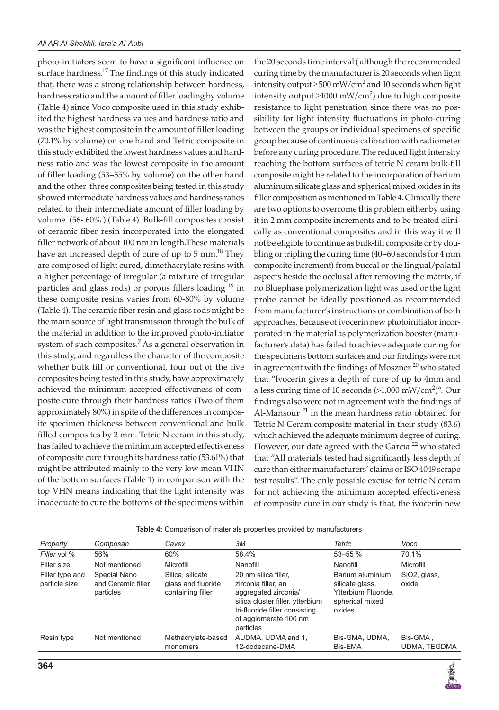photo-initiators seem to have a significant influence on surface hardness.<sup>17</sup> The findings of this study indicated that, there was a strong relationship between hardness, hardness ratio and the amount of filler loading by volume (Table 4) since Voco composite used in this study exhibited the highest hardness values and hardness ratio and was the highest composite in the amount of filler loading (70.1% by volume) on one hand and Tetric composite in this study exhibited the lowest hardness values and hardness ratio and was the lowest composite in the amount of filler loading (53–55% by volume) on the other hand and the other three composites being tested in this study showed intermediate hardness values and hardness ratios related to their intermediate amount of filler loading by volume (56- 60% ) (Table 4). Bulk-fill composites consist of ceramic fiber resin incorporated into the elongated filler network of about 100 nm in length.These materials have an increased depth of cure of up to  $5 \text{ mm}^{18}$  They are composed of light cured, dimethacrylate resins with a higher percentage of irregular (a mixture of irregular particles and glass rods) or porous fillers loading <sup>19</sup> in these composite resins varies from 60-80% by volume (Table 4). The ceramic fiber resin and glass rods might be the main source of light transmission through the bulk of the material in addition to the improved photo-initiator system of such composites.<sup>7</sup> As a general observation in this study, and regardless the character of the composite whether bulk fill or conventional, four out of the five composites being tested in this study, have approximately achieved the minimum accepted effectiveness of composite cure through their hardness ratios (Two of them approximately 80%) in spite of the differences in composite specimen thickness between conventional and bulk filled composites by 2 mm. Tetric N ceram in this study, has failed to achieve the minimum accepted effectiveness of composite cure through its hardness ratio (53.61%) that might be attributed mainly to the very low mean VHN of the bottom surfaces (Table 1) in comparison with the top VHN means indicating that the light intensity was inadequate to cure the bottoms of the specimens within

the 20 seconds time interval ( although the recommended curing time by the manufacturer is 20 seconds when light intensity output  $\geq 500$  mW/cm<sup>2</sup> and 10 seconds when light intensity output ≥1000 mW/cm<sup>2</sup>) due to high composite resistance to light penetration since there was no possibility for light intensity fluctuations in photo-curing between the groups or individual specimens of specific group because of continuous calibration with radiometer before any curing procedure. The reduced light intensity reaching the bottom surfaces of tetric N ceram bulk-fill composite might be related to the incorporation of barium aluminum silicate glass and spherical mixed oxides in its filler composition as mentioned in Table 4. Clinically there are two options to overcome this problem either by using it in 2 mm composite increments and to be treated clinically as conventional composites and in this way it will not be eligible to continue as bulk-fill composite or by doubling or tripling the curing time (40–60 seconds for 4 mm composite increment) from buccal or the lingual/palatal aspects beside the occlusal after removing the matrix, if no Bluephase polymerization light was used or the light probe cannot be ideally positioned as recommended from manufacturer's instructions or combination of both approaches. Because of ivocerin new photoinitiator incorporated in the material as polymerization booster (manufacturer's data) has failed to achieve adequate curing for the specimens bottom surfaces and our findings were not in agreement with the findings of Moszner<sup>20</sup> who stated that "Ivocerin gives a depth of cure of up to 4mm and a less curing time of 10 seconds  $(>1,000 \text{ mW/cm}^2)'$ . Our findings also were not in agreement with the findings of Al-Mansour<sup>21</sup> in the mean hardness ratio obtained for Tetric N Ceram composite material in their study (83.6) which achieved the adequate minimum degree of curing. However, our date agreed with the Garcia<sup>22</sup> who stated that "All materials tested had significantly less depth of cure than either manufacturers' claims or ISO 4049 scrape test results". The only possible excuse for tetric N ceram for not achieving the minimum accepted effectiveness of composite cure in our study is that, the ivocerin new

| Property                         | Composan                                        | Cavex                                                       | ЗM                                                                                                                                                                              | Tetric                                                                                  | Voco                     |
|----------------------------------|-------------------------------------------------|-------------------------------------------------------------|---------------------------------------------------------------------------------------------------------------------------------------------------------------------------------|-----------------------------------------------------------------------------------------|--------------------------|
| Filler vol %                     | 56%                                             | 60%                                                         | 58.4%                                                                                                                                                                           | $53 - 55%$                                                                              | 70.1%                    |
| Filler size                      | Not mentioned                                   | Microfill                                                   | Nanofill                                                                                                                                                                        | Nanofill                                                                                | Microfill                |
| Filler type and<br>particle size | Special Nano<br>and Ceramic filler<br>particles | Silica, silicate<br>glass and fluoride<br>containing filler | 20 nm silica filler,<br>zirconia filler, an<br>aggregated zirconia/<br>silica cluster filler, ytterbium<br>tri-fluoride filler consisting<br>of agglomerate 100 nm<br>particles | Barium aluminium<br>silicate glass,<br>Ytterbium Fluoride.<br>spherical mixed<br>oxides | SiO2, glass,<br>oxide    |
| Resin type                       | Not mentioned                                   | Methacrylate-based<br>monomers                              | AUDMA, UDMA and 1,<br>12-dodecane-DMA                                                                                                                                           | Bis-GMA, UDMA,<br>Bis-EMA                                                               | Bis-GMA,<br>UDMA, TEGDMA |

**Table 4:** Comparison of materials properties provided by manufacturers